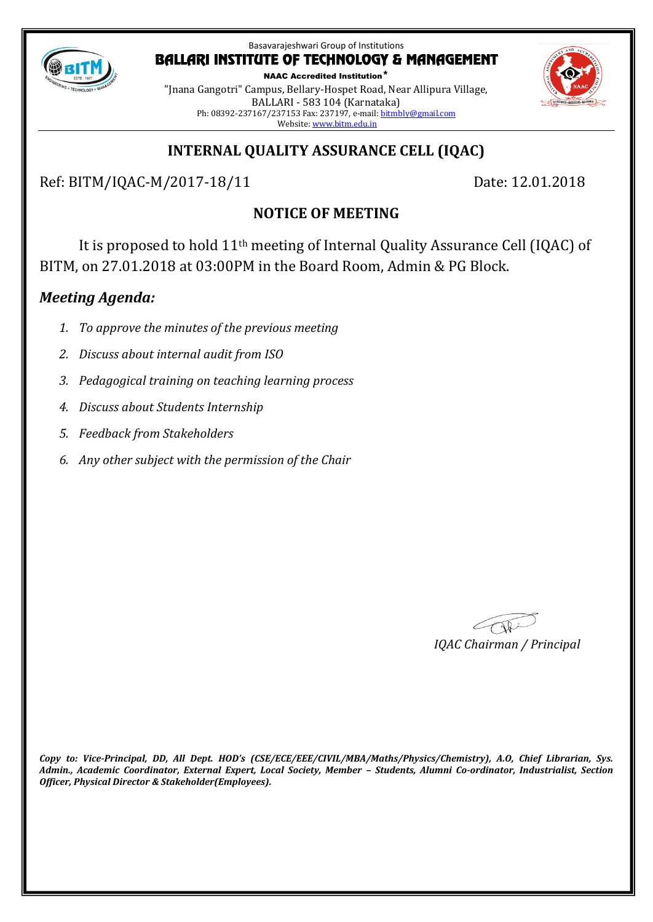

NAAC Accredited Institution\* "Jnana Gangotri" Campus, Bellary-Hospet Road, Near Allipura Village, BALLARI - 583 104 (Karnataka) Ph: 08392-237167/237153 Fax: 237197, e-mail[: bitmbly@gmail.com](mailto:bitmbly@gmail.com) Website[: www.bitm.edu.in](http://www.bec-bellary.com/)



# **INTERNAL QUALITY ASSURANCE CELL (IQAC)**

Ref: BITM/IQAC-M/2017-18/11 Date: 12.01.2018

# **NOTICE OF MEETING**

It is proposed to hold 11th meeting of Internal Quality Assurance Cell (IQAC) of BITM, on 27.01.2018 at 03:00PM in the Board Room, Admin & PG Block.

# *Meeting Agenda:*

- *1. To approve the minutes of the previous meeting*
- *2. Discuss about internal audit from ISO*
- *3. Pedagogical training on teaching learning process*
- *4. Discuss about Students Internship*
- *5. Feedback from Stakeholders*
- *6. Any other subject with the permission of the Chair*

*IQAC Chairman / Principal*

*Copy to: Vice-Principal, DD, All Dept. HOD's (CSE/ECE/EEE/CIVIL/MBA/Maths/Physics/Chemistry), A.O, Chief Librarian, Sys. Admin., Academic Coordinator, External Expert, Local Society, Member – Students, Alumni Co-ordinator, Industrialist, Section Officer, Physical Director & Stakeholder(Employees).*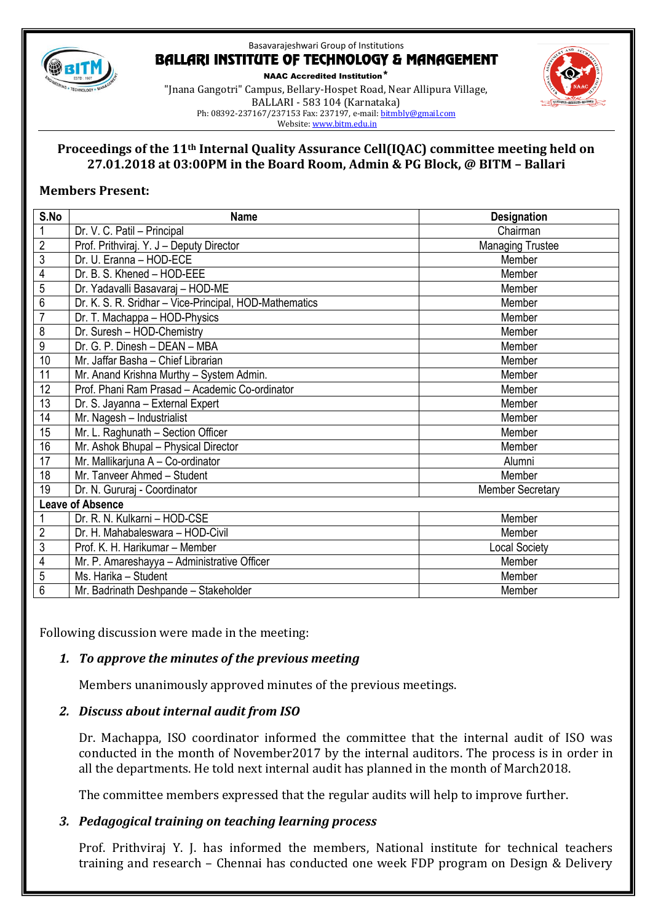

NAAC Accredited Institution\* "Jnana Gangotri" Campus, Bellary-Hospet Road, Near Allipura Village, BALLARI - 583 104 (Karnataka) Ph: 08392-237167/237153 Fax: 237197, e-mail[: bitmbly@gmail.com](mailto:bitmbly@gmail.com) Website[: www.bitm.edu.in](http://www.bec-bellary.com/)



## **Proceedings of the 11th Internal Quality Assurance Cell(IQAC) committee meeting held on 27.01.2018 at 03:00PM in the Board Room, Admin & PG Block, @ BITM – Ballari**

### **Members Present:**

| S.No                    | <b>Name</b>                                            | <b>Designation</b>      |
|-------------------------|--------------------------------------------------------|-------------------------|
| 1                       | Dr. V. C. Patil - Principal                            | Chairman                |
| $\overline{2}$          | Prof. Prithviraj. Y. J - Deputy Director               | <b>Managing Trustee</b> |
| $\overline{3}$          | Dr. U. Eranna - HOD-ECE                                | Member                  |
| $\overline{4}$          | Dr. B. S. Khened - HOD-EEE                             | Member                  |
| 5                       | Dr. Yadavalli Basavaraj - HOD-ME                       | Member                  |
| 6                       | Dr. K. S. R. Sridhar - Vice-Principal, HOD-Mathematics | Member                  |
| $\overline{7}$          | Dr. T. Machappa - HOD-Physics                          | Member                  |
| 8                       | Dr. Suresh - HOD-Chemistry                             | Member                  |
| 9                       | Dr. G. P. Dinesh - DEAN - MBA                          | Member                  |
| 10                      | Mr. Jaffar Basha - Chief Librarian                     | Member                  |
| 11                      | Mr. Anand Krishna Murthy - System Admin.               | Member                  |
| 12                      | Prof. Phani Ram Prasad - Academic Co-ordinator         | Member                  |
| 13                      | Dr. S. Jayanna - External Expert                       | Member                  |
| 14                      | Mr. Nagesh - Industrialist                             | Member                  |
| 15                      | Mr. L. Raghunath - Section Officer                     | Member                  |
| 16                      | Mr. Ashok Bhupal - Physical Director                   | Member                  |
| 17                      | Mr. Mallikarjuna A - Co-ordinator                      | Alumni                  |
| 18                      | Mr. Tanveer Ahmed - Student                            | Member                  |
| 19                      | Dr. N. Gururaj - Coordinator                           | <b>Member Secretary</b> |
| <b>Leave of Absence</b> |                                                        |                         |
|                         | Dr. R. N. Kulkarni - HOD-CSE                           | Member                  |
| $\overline{2}$          | Dr. H. Mahabaleswara - HOD-Civil                       | Member                  |
| $\overline{3}$          | Prof. K. H. Harikumar - Member                         | <b>Local Society</b>    |
| $\overline{4}$          | Mr. P. Amareshayya - Administrative Officer            | Member                  |
| $\overline{5}$          | Ms. Harika - Student                                   | Member                  |
| $\overline{6}$          | Mr. Badrinath Deshpande - Stakeholder                  | Member                  |

Following discussion were made in the meeting:

# *1. To approve the minutes of the previous meeting*

Members unanimously approved minutes of the previous meetings.

#### *2. Discuss about internal audit from ISO*

Dr. Machappa, ISO coordinator informed the committee that the internal audit of ISO was conducted in the month of November2017 by the internal auditors. The process is in order in all the departments. He told next internal audit has planned in the month of March2018.

The committee members expressed that the regular audits will help to improve further.

# *3. Pedagogical training on teaching learning process*

Prof. Prithviraj Y. J. has informed the members, National institute for technical teachers training and research – Chennai has conducted one week FDP program on Design & Delivery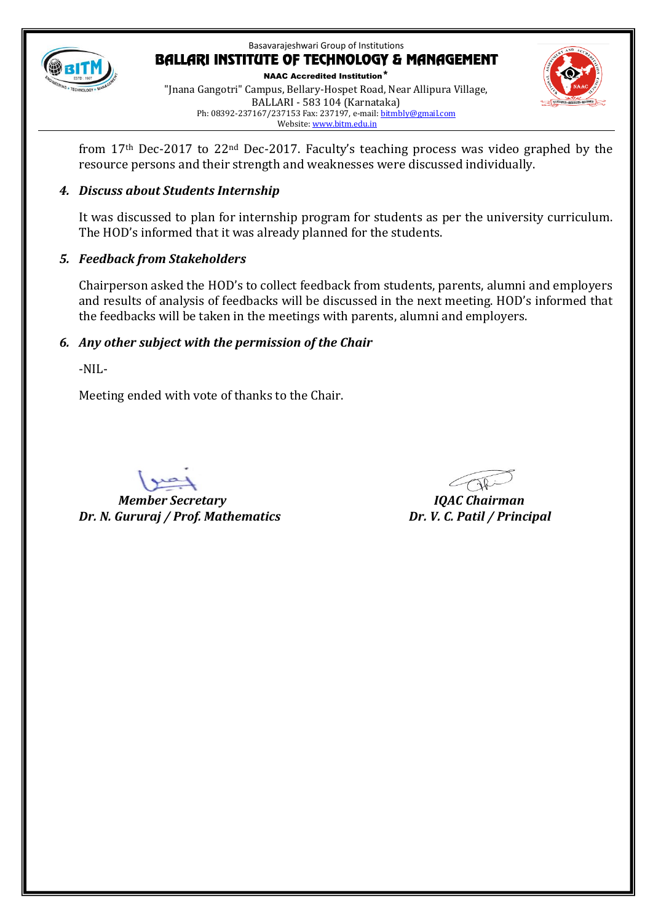

NAAC Accredited Institution\* "Jnana Gangotri" Campus, Bellary-Hospet Road, Near Allipura Village, BALLARI - 583 104 (Karnataka) Ph: 08392-237167/237153 Fax: 237197, e-mail[: bitmbly@gmail.com](mailto:bitmbly@gmail.com) Website[: www.bitm.edu.in](http://www.bec-bellary.com/)



from 17th Dec-2017 to 22nd Dec-2017. Faculty's teaching process was video graphed by the resource persons and their strength and weaknesses were discussed individually.

# *4. Discuss about Students Internship*

It was discussed to plan for internship program for students as per the university curriculum. The HOD's informed that it was already planned for the students.

# *5. Feedback from Stakeholders*

Chairperson asked the HOD's to collect feedback from students, parents, alumni and employers and results of analysis of feedbacks will be discussed in the next meeting. HOD's informed that the feedbacks will be taken in the meetings with parents, alumni and employers.

# *6. Any other subject with the permission of the Chair*

-NIL-

Meeting ended with vote of thanks to the Chair.

*Member Secretary IQAC Chairman Dr. N. Gururaj / Prof. Mathematics Dr. V. C. Patil / Principal*